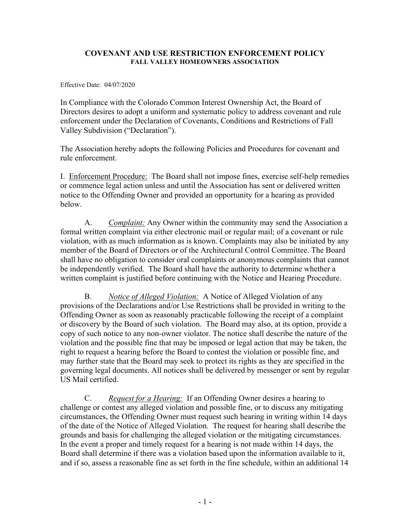## **COVENANT AND USE RESTRICTION ENFORCEMENT POLICY FALL VALLEY HOMEOWNERS ASSOCIATION**

Effective Date: 04/07/2020

In Compliance with the Colorado Common Interest Ownership Act, the Board of Directors desires to adopt a uniform and systematic policy to address covenant and rule enforcement under the Declaration of Covenants, Conditions and Restrictions of Fall Valley Subdivision ("Declaration").

The Association hereby adopts the following Policies and Procedures for covenant and rule enforcement.

I. Enforcement Procedure: The Board shall not impose fines, exercise self-help remedies or commence legal action unless and until the Association has sent or delivered written notice to the Offending Owner and provided an opportunity for a hearing as provided below.

A. *Complaint:* Any Owner within the community may send the Association a formal written complaint via either electronic mail or regular mail; of a covenant or rule violation, with as much information as is known. Complaints may also be initiated by any member of the Board of Directors or of the Architectural Control Committee. The Board shall have no obligation to consider oral complaints or anonymous complaints that cannot be independently verified. The Board shall have the authority to determine whether a written complaint is justified before continuing with the Notice and Hearing Procedure.

B. *Notice of Alleged Violation:* A Notice of Alleged Violation of any provisions of the Declarations and/or Use Restrictions shall be provided in writing to the Offending Owner as soon as reasonably practicable following the receipt of a complaint or discovery by the Board of such violation. The Board may also, at its option, provide a copy of such notice to any non-owner violator. The notice shall describe the nature of the violation and the possible fine that may be imposed or legal action that may be taken, the right to request a hearing before the Board to contest the violation or possible fine, and may further state that the Board may seek to protect its rights as they are specified in the governing legal documents. All notices shall be delivered by messenger or sent by regular US Mail certified.

C. *Request for a Hearing:* If an Offending Owner desires a hearing to challenge or contest any alleged violation and possible fine, or to discuss any mitigating circumstances, the Offending Owner must request such hearing in writing within 14 days of the date of the Notice of Alleged Violation. The request for hearing shall describe the grounds and basis for challenging the alleged violation or the mitigating circumstances. In the event a proper and timely request for a hearing is not made within 14 days, the Board shall determine if there was a violation based upon the information available to it, and if so, assess a reasonable fine as set forth in the fine schedule, within an additional 14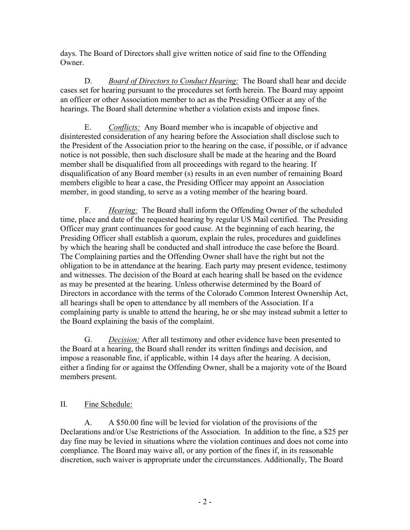days. The Board of Directors shall give written notice of said fine to the Offending Owner.

D. *Board of Directors to Conduct Hearing:* The Board shall hear and decide cases set for hearing pursuant to the procedures set forth herein. The Board may appoint an officer or other Association member to act as the Presiding Officer at any of the hearings. The Board shall determine whether a violation exists and impose fines.

E. *Conflicts:* Any Board member who is incapable of objective and disinterested consideration of any hearing before the Association shall disclose such to the President of the Association prior to the hearing on the case, if possible, or if advance notice is not possible, then such disclosure shall be made at the hearing and the Board member shall be disqualified from all proceedings with regard to the hearing. If disqualification of any Board member (s) results in an even number of remaining Board members eligible to hear a case, the Presiding Officer may appoint an Association member, in good standing, to serve as a voting member of the hearing board.

F. *Hearing:* The Board shall inform the Offending Owner of the scheduled time, place and date of the requested hearing by regular US Mail certified. The Presiding Officer may grant continuances for good cause. At the beginning of each hearing, the Presiding Officer shall establish a quorum, explain the rules, procedures and guidelines by which the hearing shall be conducted and shall introduce the case before the Board. The Complaining parties and the Offending Owner shall have the right but not the obligation to be in attendance at the hearing. Each party may present evidence, testimony and witnesses. The decision of the Board at each hearing shall be based on the evidence as may be presented at the hearing. Unless otherwise determined by the Board of Directors in accordance with the terms of the Colorado Common Interest Ownership Act, all hearings shall be open to attendance by all members of the Association. If a complaining party is unable to attend the hearing, he or she may instead submit a letter to the Board explaining the basis of the complaint.

G. *Decision:* After all testimony and other evidence have been presented to the Board at a hearing, the Board shall render its written findings and decision, and impose a reasonable fine, if applicable, within 14 days after the hearing. A decision, either a finding for or against the Offending Owner, shall be a majority vote of the Board members present.

## II. Fine Schedule:

A. A \$50.00 fine will be levied for violation of the provisions of the Declarations and/or Use Restrictions of the Association. In addition to the fine, a \$25 per day fine may be levied in situations where the violation continues and does not come into compliance. The Board may waive all, or any portion of the fines if, in its reasonable discretion, such waiver is appropriate under the circumstances. Additionally, The Board